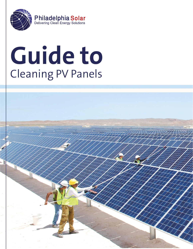

# **Guide to**  Cleaning PV Panels

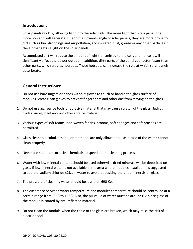#### **Introduction:**

Solar panels work by allowing light into the solar cells. The more light that hits a panel, the more power it will generate. Due to the upwards angle of solar panels, they are more prone to dirt such as bird droppings and Air pollution, accumulated dust, grease or any other particles in the air that gets caught on the solar panels.

Accumulated dirt will reduce the amount of light transmitted to the cells and hence it will significantly affect the power output. In addition, dirty parts of the panel get hotter faster than other parts, which creates hotspots. These hotspots can increase the rate at which solar panels deteriorate.

#### **General Instructions:**

- modules. Wear clean gloves to prevent fingerprints and other dirt from staying on the glass. 1. Do not use bare fingers or hands without gloves to touch or handle the glass surface of
- blades, knives, steel wool and other abrasive materials. 2. Do not use aggressive tools or abrasive material that may cause scratch of the glass. Such as
- permitted 3. Various types of soft foams, non-woven fabrics, brooms, soft sponges and soft brushes are
- clean properly. 4. Glass cleaner, alcohol, ethanol or methanol are only allowed to use in case of the water cannot
- 5. Never use steam or corrosive chemicals to speed up the cleaning process.
- to add the sodium chloride ≤2‰ in water to avoid depositing the dried minerals on glass. glass. If low mineral water is not available in the area where modules installed, it is suggested 6. Water with low mineral content should be used otherwise dried minerals will be deposited on
- 7. The pressure of cleaning water should be less than 690 Kpa.
- the module is coated by anti-reflected material. certain range from -5  $\mathrm{°C}$  to 10  $\mathrm{°C}$ . Also, the pH value of water must be around 6-8 since glass of 8. The difference between water temperature and modules temperature should be controlled at a
- electric shock. 9. Do not clean the module when the cable or the glass are broken, which may raise the risk of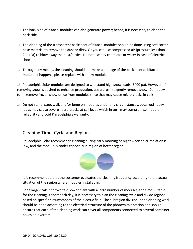- back side. 10. The back side of bifacial modules can also generate power; hence, it is necessary to clean the
- shock. 2.4 KPa) to blow away the dust/dirties. Do not use any chemicals or water in case of electrical base material to remove the dust or dirty. Or you can use compressed air (pressure less than 11. The cleaning of the transparent backsheet of bifacial modules should be done using soft cotton
- module. If happens, please replace with a new module. 12. Through any means, the cleaning should not make a damage of the backsheet of bifacial

to remove frozen snow or ice from modules since that may cause micro-cracks in cells. removing snow is desired to enhance production, use a brush to gently remove snow. Do not try 13. Philadelphia Solar modules are designed to withstand high snow loads (5400 pa). However, if

reliability and void Philadelphia's warranty. loads may cause severe micro-cracks at cell level, which in turn may compromise module 14. Do not stand, step, walk and/or jump on modules under any circumstances. Localized heavy

### Cleaning Time, Cycle and Region

Philadelphia Solar recommends cleaning during early morning or night when solar radiation is low, and the module is cooler especially in region of hotter region.



It is recommended that the customer evaluates the cleaning frequency according to the actual situation of the region where modules installed in.

For a large-scale photovoltaic power plant with a large number of modules, the time suitable for the cleaning is short each day; it is necessary to plan the cleaning cycle and divide regions based on specific circumstances of the electric field. The subregion division in the cleaning work should be done according to the electrical structure of the photovoltaic station and should ensure that each of the cleaning work can cover all components connected to several combiner boxes or inverters.